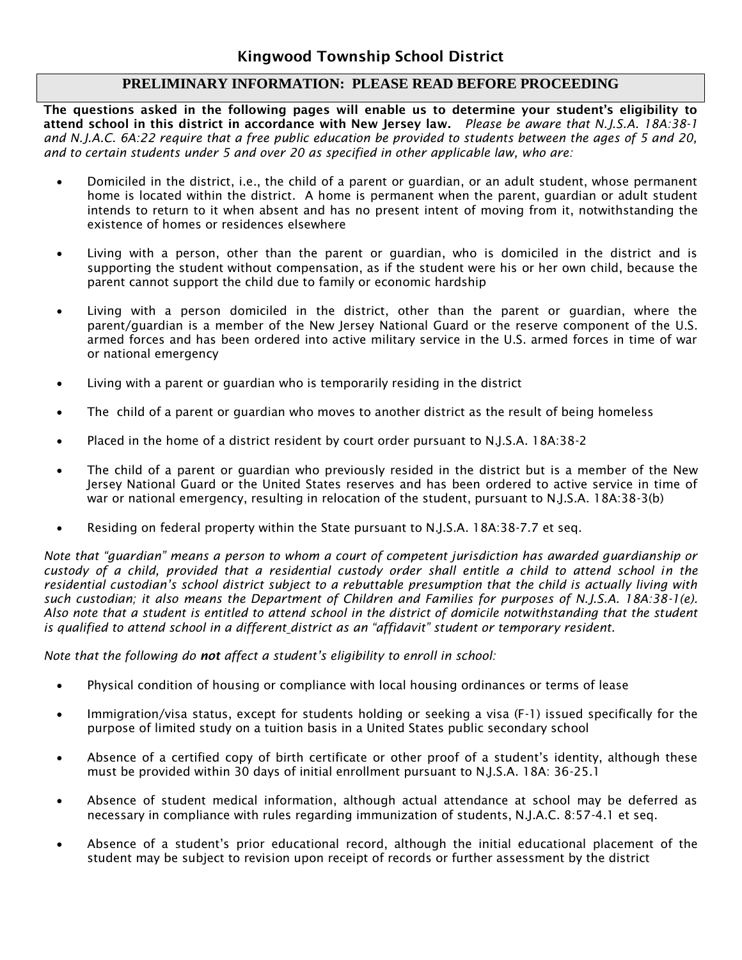## **PRELIMINARY INFORMATION: PLEASE READ BEFORE PROCEEDING**

**The questions asked in the following pages will enable us to determine your student's eligibility to attend school in this district in accordance with New Jersey law.** *Please be aware that N.J.S.A. 18A:38-1 and N.J.A.C. 6A:22 require that a free public education be provided to students between the ages of 5 and 20, and to certain students under 5 and over 20 as specified in other applicable law, who are:*

- Domiciled in the district, i.e., the child of a parent or guardian, or an adult student, whose permanent home is located within the district. A home is permanent when the parent, guardian or adult student intends to return to it when absent and has no present intent of moving from it, notwithstanding the existence of homes or residences elsewhere
- Living with a person, other than the parent or guardian, who is domiciled in the district and is supporting the student without compensation, as if the student were his or her own child, because the parent cannot support the child due to family or economic hardship
- Living with a person domiciled in the district, other than the parent or guardian, where the parent/guardian is a member of the New Jersey National Guard or the reserve component of the U.S. armed forces and has been ordered into active military service in the U.S. armed forces in time of war or national emergency
- Living with a parent or guardian who is temporarily residing in the district
- The child of a parent or guardian who moves to another district as the result of being homeless
- Placed in the home of a district resident by court order pursuant to N.J.S.A. 18A:38-2
- The child of a parent or guardian who previously resided in the district but is a member of the New Jersey National Guard or the United States reserves and has been ordered to active service in time of war or national emergency, resulting in relocation of the student, pursuant to N.J.S.A. 18A:38-3(b)
- Residing on federal property within the State pursuant to N.J.S.A. 18A:38-7.7 et seq.

*Note that "guardian" means a person to whom a court of competent jurisdiction has awarded guardianship or custody of a child, provided that a residential custody order shall entitle a child to attend school in the residential custodian's school district subject to a rebuttable presumption that the child is actually living with such custodian; it also means the Department of Children and Families for purposes of N.J.S.A. 18A:38-1(e). Also note that a student is entitled to attend school in the district of domicile notwithstanding that the student is qualified to attend school in a different district as an "affidavit" student or temporary resident.* 

*Note that the following do not affect a student's eligibility to enroll in school:*

- Physical condition of housing or compliance with local housing ordinances or terms of lease
- Immigration/visa status, except for students holding or seeking a visa (F-1) issued specifically for the purpose of limited study on a tuition basis in a United States public secondary school
- Absence of a certified copy of birth certificate or other proof of a student's identity, although these must be provided within 30 days of initial enrollment pursuant to N.J.S.A. 18A: 36-25.1
- Absence of student medical information, although actual attendance at school may be deferred as necessary in compliance with rules regarding immunization of students, N.J.A.C. 8:57-4.1 et seq.
- Absence of a student's prior educational record, although the initial educational placement of the student may be subject to revision upon receipt of records or further assessment by the district